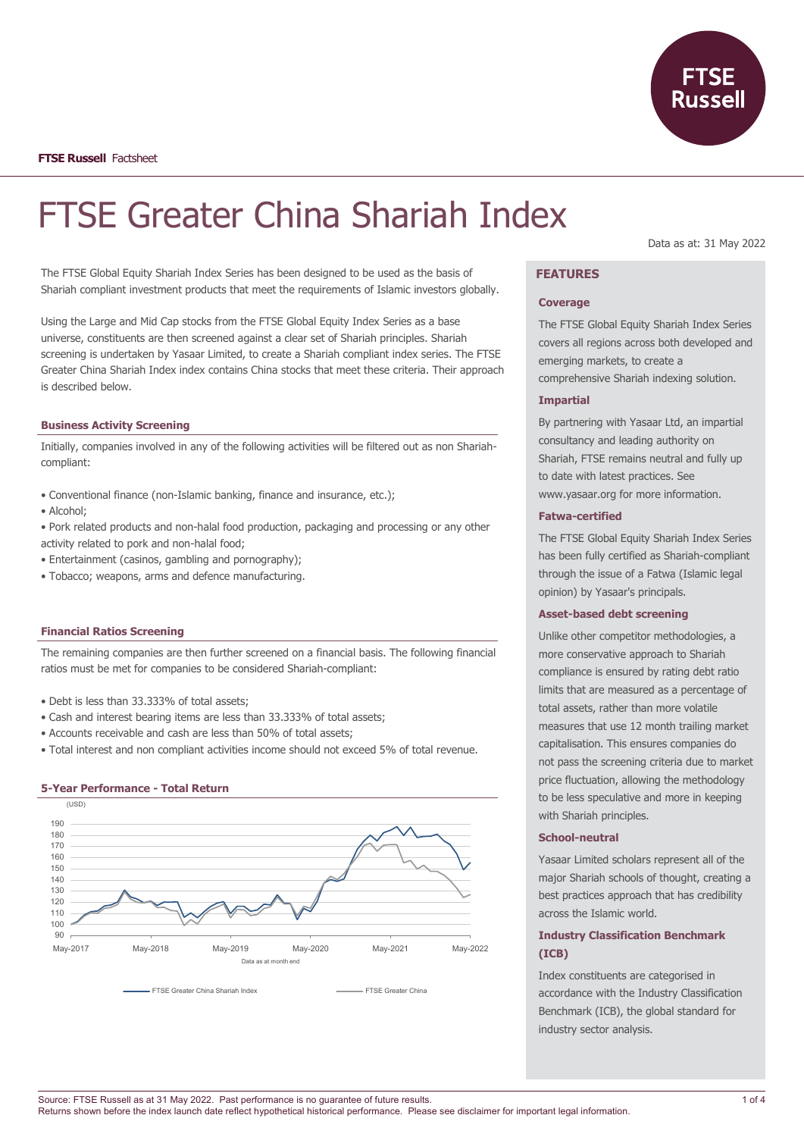

# FTSE Greater China Shariah Index

The FTSE Global Equity Shariah Index Series has been designed to be used as the basis of Shariah compliant investment products that meet the requirements of Islamic investors globally.

Using the Large and Mid Cap stocks from the FTSE Global Equity Index Series as a base universe, constituents are then screened against a clear set of Shariah principles. Shariah screening is undertaken by Yasaar Limited, to create a Shariah compliant index series. The FTSE Greater China Shariah Index index contains China stocks that meet these criteria. Their approach is described below.

#### **Business Activity Screening**

Initially, companies involved in any of the following activities will be filtered out as non Shariahcompliant:

- Conventional finance (non-Islamic banking, finance and insurance, etc.);
- Alcohol;
- Pork related products and non-halal food production, packaging and processing or any other activity related to pork and non-halal food;
- Entertainment (casinos, gambling and pornography);
- Tobacco; weapons, arms and defence manufacturing.

## **Financial Ratios Screening**

The remaining companies are then further screened on a financial basis. The following financial ratios must be met for companies to be considered Shariah-compliant:

- Debt is less than 33.333% of total assets;
- Cash and interest bearing items are less than 33.333% of total assets;
- Accounts receivable and cash are less than 50% of total assets;
- Total interest and non compliant activities income should not exceed 5% of total revenue.

## **5-Year Performance - Total Return**



Data as at: 31 May 2022

# **FEATURES**

#### **Coverage**

The FTSE Global Equity Shariah Index Series covers all regions across both developed and emerging markets, to create a comprehensive Shariah indexing solution.

#### **Impartial**

By partnering with Yasaar Ltd, an impartial consultancy and leading authority on Shariah, FTSE remains neutral and fully up to date with latest practices. See www.yasaar.org for more information.

#### **Fatwa-certified**

The FTSE Global Equity Shariah Index Series has been fully certified as Shariah-compliant through the issue of a Fatwa (Islamic legal opinion) by Yasaar's principals.

### **Asset-based debt screening**

Unlike other competitor methodologies, a more conservative approach to Shariah compliance is ensured by rating debt ratio limits that are measured as a percentage of total assets, rather than more volatile measures that use 12 month trailing market capitalisation. This ensures companies do not pass the screening criteria due to market price fluctuation, allowing the methodology to be less speculative and more in keeping with Shariah principles.

#### **School-neutral**

Yasaar Limited scholars represent all of the major Shariah schools of thought, creating a best practices approach that has credibility across the Islamic world.

# **Industry Classification Benchmark (ICB)**

Index constituents are categorised in accordance with the Industry Classification Benchmark (ICB), the global standard for industry sector analysis.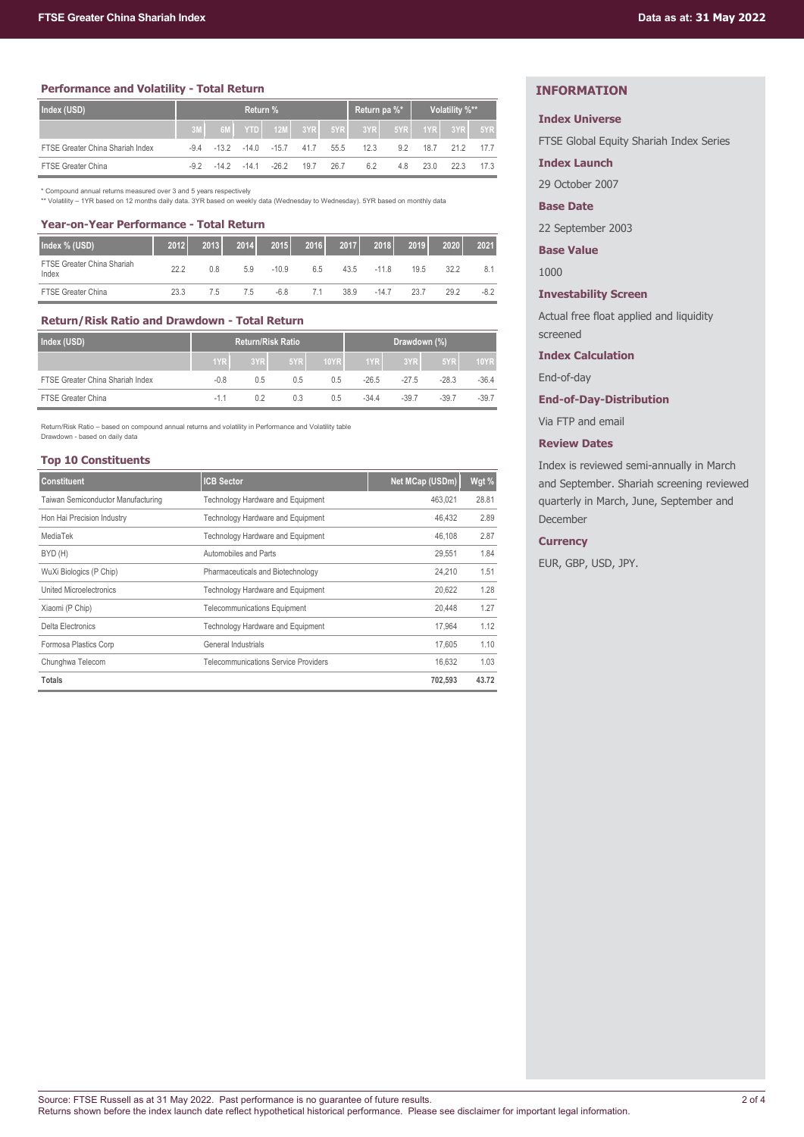## **Performance and Volatility - Total Return**

| Index (USD)                      | Return % |  |              |                                |                   | Return pa %* |                                            | Volatility %** |      |      |      |
|----------------------------------|----------|--|--------------|--------------------------------|-------------------|--------------|--------------------------------------------|----------------|------|------|------|
|                                  |          |  |              |                                |                   |              | 6M YTD 12M 3YR 5YR 3YR 5YR 5YR 1YR 3YR 5YR |                |      |      |      |
| FTSE Greater China Shariah Index | -94      |  |              | $-13.2$ $-14.0$ $-15.7$ $41.7$ |                   | 55.5         | 12.3                                       | 9.2            | 18.7 | 21.2 | 177  |
| <b>FTSE Greater China</b>        | -92      |  | $-142 - 141$ |                                | $-26.2$ 19.7 26.7 |              | 6.2                                        | 4.8            | 23 O | 22.3 | 17.3 |

\* Compound annual returns measured over 3 and 5 years respectively \*\* Volatility – 1YR based on 12 months daily data. 3YR based on weekly data (Wednesday to Wednesday). 5YR based on monthly data

#### **Year-on-Year Performance - Total Return**

| Index % (USD)                       | 2012 | 2013 | 2014 | 2015    | 2016 | 2017 | 2018   | 2019 | 2020 | 2021   |
|-------------------------------------|------|------|------|---------|------|------|--------|------|------|--------|
| FTSE Greater China Shariah<br>Index | 222  | 0.8  | 5.9  | $-10.9$ | 6.5  | 43.5 | $-118$ | 19.5 | 32.2 | 8.1    |
| <b>FTSE Greater China</b>           | 23.3 | 7.5  | 75   | $-6.8$  | 71   | 38.9 | $-147$ | 23.7 | 29.2 | $-8.2$ |

# **Return/Risk Ratio and Drawdown - Total Return**

| Index (USD)                      | <b>Return/Risk Ratio</b> |     |     |      | Drawdown (%) |         |         |             |
|----------------------------------|--------------------------|-----|-----|------|--------------|---------|---------|-------------|
|                                  | 1YR                      | 3YR | 5YR | 10YR | 1YR L        | 3YR     | 5YR     | <b>10YR</b> |
| FTSE Greater China Shariah Index | $-0.8$                   | 0.5 | 0.5 | 0.5  | $-26.5$      | $-27.5$ | $-28.3$ | $-36.4$     |
| <b>FTSE Greater China</b>        | $-1.1$                   | 0.2 | 0.3 | 0.5  | $-34.4$      | $-39.7$ | $-39.7$ | $-39.7$     |

Return/Risk Ratio – based on compound annual returns and volatility in Performance and Volatility table Drawdown - based on daily data

#### **Top 10 Constituents**

| <b>Constituent</b>                 | <b>ICB Sector</b>                    | Net MCap (USDm) | Wgt % |
|------------------------------------|--------------------------------------|-----------------|-------|
| Taiwan Semiconductor Manufacturing | Technology Hardware and Equipment    | 463.021         | 28.81 |
| Hon Hai Precision Industry         | Technology Hardware and Equipment    | 46,432          | 2.89  |
| MediaTek                           | Technology Hardware and Equipment    | 46.108          | 2.87  |
| BYD (H)                            | Automobiles and Parts                | 29,551          | 1.84  |
| WuXi Biologics (P Chip)            | Pharmaceuticals and Biotechnology    | 24.210          | 1.51  |
| <b>United Microelectronics</b>     | Technology Hardware and Equipment    | 20,622          | 1.28  |
| Xiaomi (P Chip)                    | <b>Telecommunications Equipment</b>  | 20,448          | 1.27  |
| Delta Electronics                  | Technology Hardware and Equipment    | 17.964          | 1.12  |
| Formosa Plastics Corp              | General Industrials                  | 17.605          | 1.10  |
| Chunghwa Telecom                   | Telecommunications Service Providers | 16.632          | 1.03  |
| <b>Totals</b>                      |                                      | 702.593         | 43.72 |

# **INFORMATION**

#### **Index Universe**

FTSE Global Equity Shariah Index Series

**Index Launch**

29 October 2007

#### **Base Date**

22 September 2003

**Base Value**

1000

## **Investability Screen**

Actual free float applied and liquidity screened

## **Index Calculation**

End-of-day

## **End-of-Day-Distribution**

Via FTP and email

#### **Review Dates**

Index is reviewed semi-annually in March and September. Shariah screening reviewed quarterly in March, June, September and December

#### **Currency**

EUR, GBP, USD, JPY.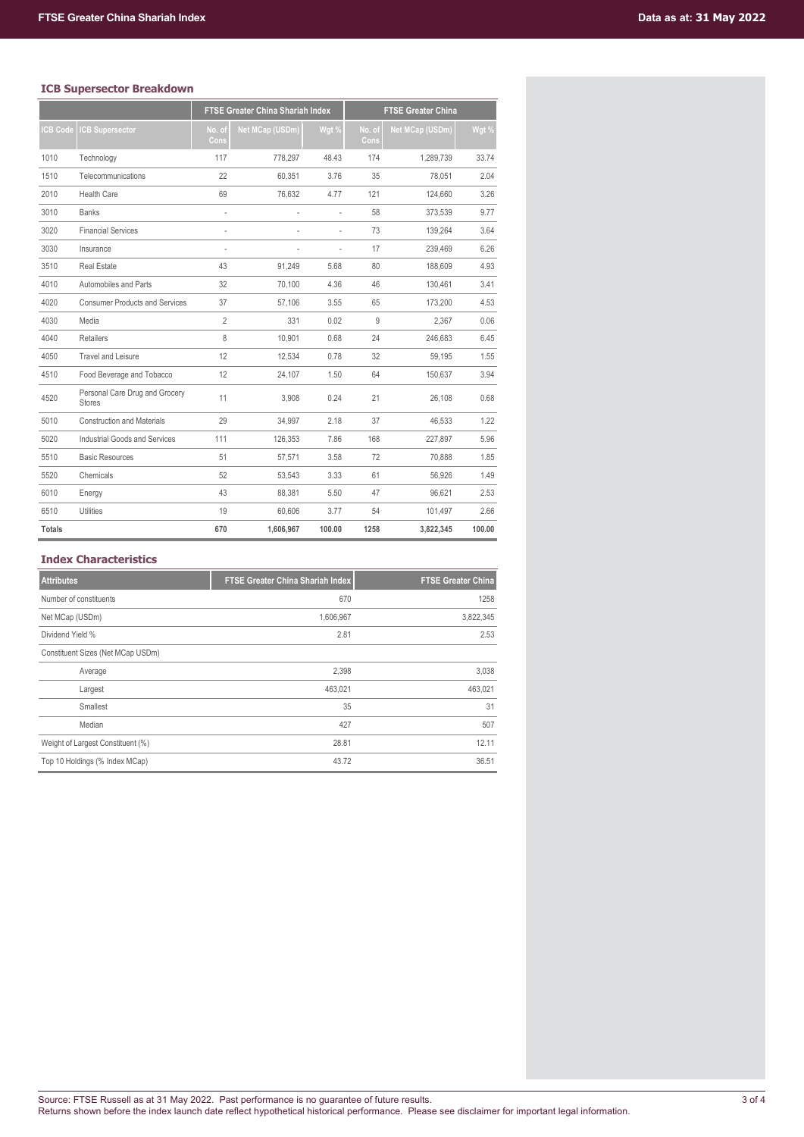# **ICB Supersector Breakdown**

|                 | .s supersecor si                                | <b>FTSE Greater China Shariah Index</b> |                        |                | <b>FTSE Greater China</b> |                 |        |  |  |
|-----------------|-------------------------------------------------|-----------------------------------------|------------------------|----------------|---------------------------|-----------------|--------|--|--|
|                 |                                                 |                                         |                        |                |                           |                 |        |  |  |
| <b>ICB Code</b> | <b>ICB Supersector</b>                          | No. of<br>Cons                          | <b>Net MCap (USDm)</b> | Wgt %          | No. of<br>Cons            | Net MCap (USDm) | Wgt %  |  |  |
| 1010            | Technology                                      | 117                                     | 778,297                | 48.43          | 174                       | 1.289.739       | 33.74  |  |  |
| 1510            | Telecommunications                              | 22                                      | 60,351                 | 3.76           | 35                        | 78,051          | 2.04   |  |  |
| 2010            | <b>Health Care</b>                              | 69                                      | 76,632                 | 4.77           | 121                       | 124,660         | 3.26   |  |  |
| 3010            | <b>Banks</b>                                    | $\frac{1}{2}$                           |                        | ÷,             | 58                        | 373,539         | 9.77   |  |  |
| 3020            | <b>Financial Services</b>                       | ä,                                      |                        | $\overline{a}$ | 73                        | 139.264         | 3.64   |  |  |
| 3030            | Insurance                                       | ä,                                      |                        | ÷,             | 17                        | 239,469         | 6.26   |  |  |
| 3510            | <b>Real Estate</b>                              | 43                                      | 91,249                 | 5.68           | 80                        | 188,609         | 4.93   |  |  |
| 4010            | Automobiles and Parts                           | 32                                      | 70.100                 | 4.36           | 46                        | 130.461         | 3.41   |  |  |
| 4020            | <b>Consumer Products and Services</b>           | 37                                      | 57,106                 | 3.55           | 65                        | 173,200         | 4.53   |  |  |
| 4030            | Media                                           | $\overline{2}$                          | 331                    | 0.02           | 9                         | 2,367           | 0.06   |  |  |
| 4040            | Retailers                                       | 8                                       | 10.901                 | 0.68           | 24                        | 246.683         | 6.45   |  |  |
| 4050            | <b>Travel and Leisure</b>                       | 12                                      | 12,534                 | 0.78           | 32                        | 59,195          | 1.55   |  |  |
| 4510            | Food Beverage and Tobacco                       | 12                                      | 24,107                 | 1.50           | 64                        | 150,637         | 3.94   |  |  |
| 4520            | Personal Care Drug and Grocery<br><b>Stores</b> | 11                                      | 3,908                  | 0.24           | 21                        | 26,108          | 0.68   |  |  |
| 5010            | <b>Construction and Materials</b>               | 29                                      | 34.997                 | 2.18           | 37                        | 46.533          | 1.22   |  |  |
| 5020            | Industrial Goods and Services                   | 111                                     | 126,353                | 7.86           | 168                       | 227,897         | 5.96   |  |  |
| 5510            | <b>Basic Resources</b>                          | 51                                      | 57,571                 | 3.58           | 72                        | 70.888          | 1.85   |  |  |
| 5520            | Chemicals                                       | 52                                      | 53.543                 | 3.33           | 61                        | 56.926          | 1.49   |  |  |
| 6010            | Energy                                          | 43                                      | 88,381                 | 5.50           | 47                        | 96,621          | 2.53   |  |  |
| 6510            | Utilities                                       | 19                                      | 60,606                 | 3.77           | 54                        | 101,497         | 2.66   |  |  |
| <b>Totals</b>   |                                                 | 670                                     | 1,606,967              | 100.00         | 1258                      | 3,822,345       | 100.00 |  |  |

# **Index Characteristics**

| <b>Attributes</b>                 | <b>FTSE Greater China Shariah Index</b> | <b>FTSE Greater China</b> |
|-----------------------------------|-----------------------------------------|---------------------------|
| Number of constituents            | 670                                     | 1258                      |
| Net MCap (USDm)                   | 1,606,967                               | 3,822,345                 |
| Dividend Yield %                  | 2.81                                    | 2.53                      |
| Constituent Sizes (Net MCap USDm) |                                         |                           |
| Average                           | 2,398                                   | 3,038                     |
| Largest                           | 463,021                                 | 463,021                   |
| Smallest                          | 35                                      | 31                        |
| Median                            | 427                                     | 507                       |
| Weight of Largest Constituent (%) | 28.81                                   | 12.11                     |
| Top 10 Holdings (% Index MCap)    | 43.72                                   | 36.51                     |